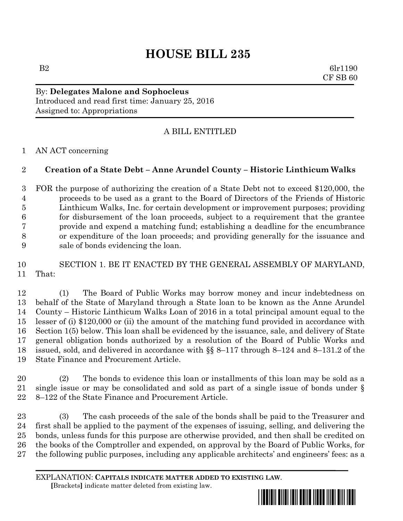# **HOUSE BILL 235**

B2 6lr1190 CF SB 60

By: **Delegates Malone and Sophocleus** Introduced and read first time: January 25, 2016 Assigned to: Appropriations

# A BILL ENTITLED

AN ACT concerning

### **Creation of a State Debt – Anne Arundel County – Historic Linthicum Walks**

 FOR the purpose of authorizing the creation of a State Debt not to exceed \$120,000, the proceeds to be used as a grant to the Board of Directors of the Friends of Historic Linthicum Walks, Inc. for certain development or improvement purposes; providing for disbursement of the loan proceeds, subject to a requirement that the grantee provide and expend a matching fund; establishing a deadline for the encumbrance or expenditure of the loan proceeds; and providing generally for the issuance and sale of bonds evidencing the loan.

# SECTION 1. BE IT ENACTED BY THE GENERAL ASSEMBLY OF MARYLAND, That:

 (1) The Board of Public Works may borrow money and incur indebtedness on behalf of the State of Maryland through a State loan to be known as the Anne Arundel County – Historic Linthicum Walks Loan of 2016 in a total principal amount equal to the lesser of (i) \$120,000 or (ii) the amount of the matching fund provided in accordance with Section 1(5) below. This loan shall be evidenced by the issuance, sale, and delivery of State general obligation bonds authorized by a resolution of the Board of Public Works and issued, sold, and delivered in accordance with §§ 8–117 through 8–124 and 8–131.2 of the State Finance and Procurement Article.

 (2) The bonds to evidence this loan or installments of this loan may be sold as a single issue or may be consolidated and sold as part of a single issue of bonds under § 8–122 of the State Finance and Procurement Article.

 (3) The cash proceeds of the sale of the bonds shall be paid to the Treasurer and first shall be applied to the payment of the expenses of issuing, selling, and delivering the bonds, unless funds for this purpose are otherwise provided, and then shall be credited on the books of the Comptroller and expended, on approval by the Board of Public Works, for the following public purposes, including any applicable architects' and engineers' fees: as a

EXPLANATION: **CAPITALS INDICATE MATTER ADDED TO EXISTING LAW**.  **[**Brackets**]** indicate matter deleted from existing law.